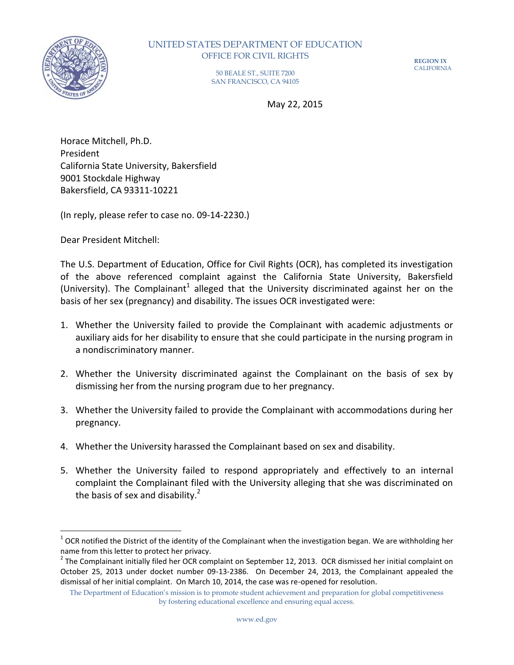

 $\overline{a}$ 

## UNITED STATES DEPARTMENT OF EDUCATION OFFICE FOR CIVIL RIGHTS

**REGION IX** CALIFORNIA

50 BEALE ST., SUITE 7200 SAN FRANCISCO, CA 94105

May 22, 2015

Horace Mitchell, Ph.D. President California State University, Bakersfield 9001 Stockdale Highway Bakersfield, CA 93311-10221

(In reply, please refer to case no. 09-14-2230.)

Dear President Mitchell:

The U.S. Department of Education, Office for Civil Rights (OCR), has completed its investigation of the above referenced complaint against the California State University, Bakersfield (University). The Complainant<sup>1</sup> alleged that the University discriminated against her on the basis of her sex (pregnancy) and disability. The issues OCR investigated were:

- 1. Whether the University failed to provide the Complainant with academic adjustments or auxiliary aids for her disability to ensure that she could participate in the nursing program in a nondiscriminatory manner.
- 2. Whether the University discriminated against the Complainant on the basis of sex by dismissing her from the nursing program due to her pregnancy.
- 3. Whether the University failed to provide the Complainant with accommodations during her pregnancy.
- 4. Whether the University harassed the Complainant based on sex and disability.
- 5. Whether the University failed to respond appropriately and effectively to an internal complaint the Complainant filed with the University alleging that she was discriminated on the basis of sex and disability. $^2$

 $^1$  OCR notified the District of the identity of the Complainant when the investigation began. We are withholding her name from this letter to protect her privacy.

 $^2$  The Complainant initially filed her OCR complaint on September 12, 2013. OCR dismissed her initial complaint on October 25, 2013 under docket number 09-13-2386. On December 24, 2013, the Complainant appealed the dismissal of her initial complaint. On March 10, 2014, the case was re-opened for resolution.

The Department of Education's mission is to promote student achievement and preparation for global competitiveness by fostering educational excellence and ensuring equal access.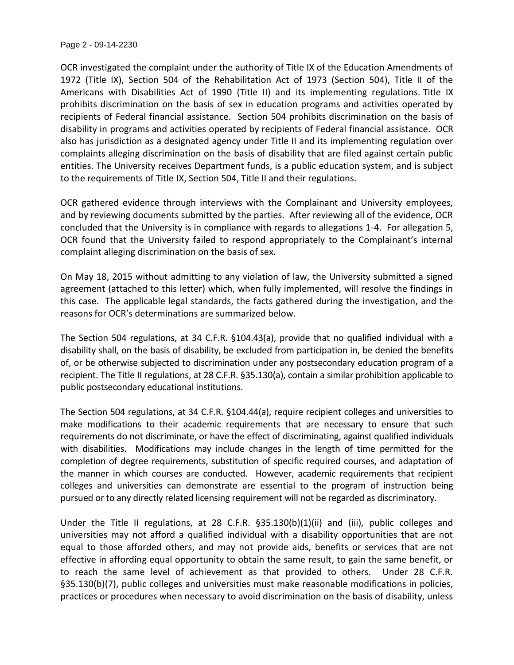Page 2 - 09-14-2230

OCR investigated the complaint under the authority of Title IX of the Education Amendments of 1972 (Title IX), Section 504 of the Rehabilitation Act of 1973 (Section 504), Title II of the Americans with Disabilities Act of 1990 (Title II) and its implementing regulations. Title IX prohibits discrimination on the basis of sex in education programs and activities operated by recipients of Federal financial assistance. Section 504 prohibits discrimination on the basis of disability in programs and activities operated by recipients of Federal financial assistance. OCR also has jurisdiction as a designated agency under Title II and its implementing regulation over complaints alleging discrimination on the basis of disability that are filed against certain public entities. The University receives Department funds, is a public education system, and is subject to the requirements of Title IX, Section 504, Title II and their regulations.

OCR gathered evidence through interviews with the Complainant and University employees, and by reviewing documents submitted by the parties. After reviewing all of the evidence, OCR concluded that the University is in compliance with regards to allegations 1-4. For allegation 5, OCR found that the University failed to respond appropriately to the Complainant's internal complaint alleging discrimination on the basis of sex.

On May 18, 2015 without admitting to any violation of law, the University submitted a signed agreement (attached to this letter) which, when fully implemented, will resolve the findings in this case. The applicable legal standards, the facts gathered during the investigation, and the reasons for OCR's determinations are summarized below.

The Section 504 regulations, at 34 C.F.R. §104.43(a), provide that no qualified individual with a disability shall, on the basis of disability, be excluded from participation in, be denied the benefits of, or be otherwise subjected to discrimination under any postsecondary education program of a recipient. The Title II regulations, at 28 C.F.R. §35.130(a), contain a similar prohibition applicable to public postsecondary educational institutions.

The Section 504 regulations, at 34 C.F.R. §104.44(a), require recipient colleges and universities to make modifications to their academic requirements that are necessary to ensure that such requirements do not discriminate, or have the effect of discriminating, against qualified individuals with disabilities. Modifications may include changes in the length of time permitted for the completion of degree requirements, substitution of specific required courses, and adaptation of the manner in which courses are conducted. However, academic requirements that recipient colleges and universities can demonstrate are essential to the program of instruction being pursued or to any directly related licensing requirement will not be regarded as discriminatory.

Under the Title II regulations, at 28 C.F.R. §35.130(b)(1)(ii) and (iii), public colleges and universities may not afford a qualified individual with a disability opportunities that are not equal to those afforded others, and may not provide aids, benefits or services that are not effective in affording equal opportunity to obtain the same result, to gain the same benefit, or to reach the same level of achievement as that provided to others. Under 28 C.F.R. §35.130(b)(7), public colleges and universities must make reasonable modifications in policies, practices or procedures when necessary to avoid discrimination on the basis of disability, unless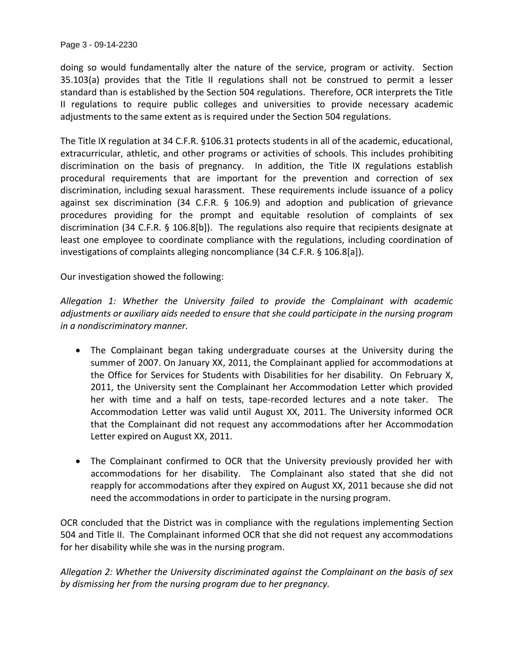Page 3 - 09-14-2230

doing so would fundamentally alter the nature of the service, program or activity. Section 35.103(a) provides that the Title II regulations shall not be construed to permit a lesser standard than is established by the Section 504 regulations. Therefore, OCR interprets the Title II regulations to require public colleges and universities to provide necessary academic adjustments to the same extent as is required under the Section 504 regulations.

The Title IX regulation at 34 C.F.R. §106.31 protects students in all of the academic, educational, extracurricular, athletic, and other programs or activities of schools. This includes prohibiting discrimination on the basis of pregnancy. In addition, the Title IX regulations establish procedural requirements that are important for the prevention and correction of sex discrimination, including sexual harassment. These requirements include issuance of a policy against sex discrimination (34 C.F.R. § 106.9) and adoption and publication of grievance procedures providing for the prompt and equitable resolution of complaints of sex discrimination (34 C.F.R. § 106.8[b]). The regulations also require that recipients designate at least one employee to coordinate compliance with the regulations, including coordination of investigations of complaints alleging noncompliance (34 C.F.R. § 106.8[a]).

Our investigation showed the following:

*Allegation 1: Whether the University failed to provide the Complainant with academic adjustments or auxiliary aids needed to ensure that she could participate in the nursing program in a nondiscriminatory manner.*

- The Complainant began taking undergraduate courses at the University during the summer of 2007. On January XX, 2011, the Complainant applied for accommodations at the Office for Services for Students with Disabilities for her disability. On February X, 2011, the University sent the Complainant her Accommodation Letter which provided her with time and a half on tests, tape-recorded lectures and a note taker. The Accommodation Letter was valid until August XX, 2011. The University informed OCR that the Complainant did not request any accommodations after her Accommodation Letter expired on August XX, 2011.
- The Complainant confirmed to OCR that the University previously provided her with accommodations for her disability. The Complainant also stated that she did not reapply for accommodations after they expired on August XX, 2011 because she did not need the accommodations in order to participate in the nursing program.

OCR concluded that the District was in compliance with the regulations implementing Section 504 and Title II. The Complainant informed OCR that she did not request any accommodations for her disability while she was in the nursing program.

*Allegation 2: Whether the University discriminated against the Complainant on the basis of sex by dismissing her from the nursing program due to her pregnancy.*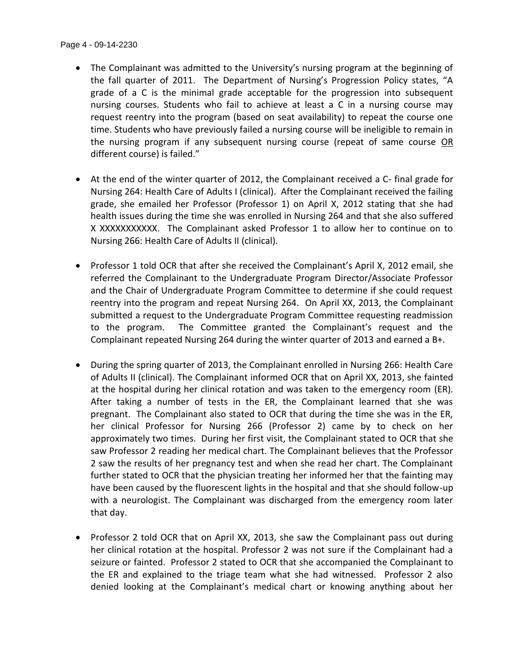- The Complainant was admitted to the University's nursing program at the beginning of the fall quarter of 2011. The Department of Nursing's Progression Policy states, "A grade of a C is the minimal grade acceptable for the progression into subsequent nursing courses. Students who fail to achieve at least a C in a nursing course may request reentry into the program (based on seat availability) to repeat the course one time. Students who have previously failed a nursing course will be ineligible to remain in the nursing program if any subsequent nursing course (repeat of same course OR different course) is failed."
- At the end of the winter quarter of 2012, the Complainant received a C- final grade for Nursing 264: Health Care of Adults I (clinical). After the Complainant received the failing grade, she emailed her Professor (Professor 1) on April X, 2012 stating that she had health issues during the time she was enrolled in Nursing 264 and that she also suffered X XXXXXXXXXXX. The Complainant asked Professor 1 to allow her to continue on to Nursing 266: Health Care of Adults II (clinical).
- Professor 1 told OCR that after she received the Complainant's April X, 2012 email, she referred the Complainant to the Undergraduate Program Director/Associate Professor and the Chair of Undergraduate Program Committee to determine if she could request reentry into the program and repeat Nursing 264. On April XX, 2013, the Complainant submitted a request to the Undergraduate Program Committee requesting readmission to the program. The Committee granted the Complainant's request and the Complainant repeated Nursing 264 during the winter quarter of 2013 and earned a B+.
- During the spring quarter of 2013, the Complainant enrolled in Nursing 266: Health Care of Adults II (clinical). The Complainant informed OCR that on April XX, 2013, she fainted at the hospital during her clinical rotation and was taken to the emergency room (ER). After taking a number of tests in the ER, the Complainant learned that she was pregnant. The Complainant also stated to OCR that during the time she was in the ER, her clinical Professor for Nursing 266 (Professor 2) came by to check on her approximately two times. During her first visit, the Complainant stated to OCR that she saw Professor 2 reading her medical chart. The Complainant believes that the Professor 2 saw the results of her pregnancy test and when she read her chart. The Complainant further stated to OCR that the physician treating her informed her that the fainting may have been caused by the fluorescent lights in the hospital and that she should follow-up with a neurologist. The Complainant was discharged from the emergency room later that day.
- Professor 2 told OCR that on April XX, 2013, she saw the Complainant pass out during her clinical rotation at the hospital. Professor 2 was not sure if the Complainant had a seizure or fainted. Professor 2 stated to OCR that she accompanied the Complainant to the ER and explained to the triage team what she had witnessed. Professor 2 also denied looking at the Complainant's medical chart or knowing anything about her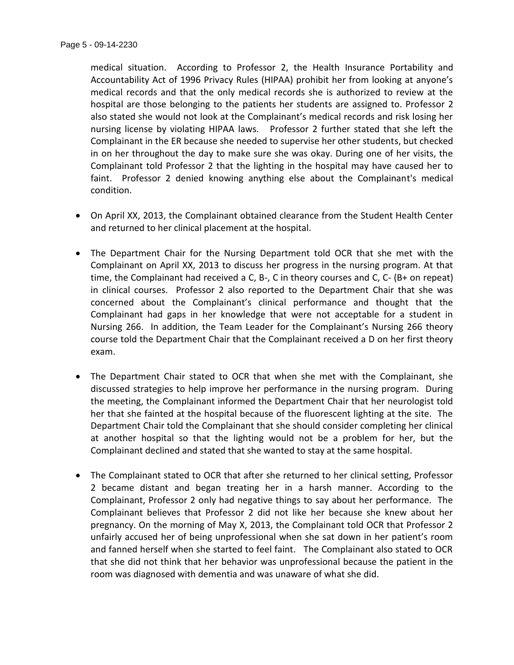medical situation. According to Professor 2, the Health Insurance Portability and Accountability Act of 1996 Privacy Rules (HIPAA) prohibit her from looking at anyone's medical records and that the only medical records she is authorized to review at the hospital are those belonging to the patients her students are assigned to. Professor 2 also stated she would not look at the Complainant's medical records and risk losing her nursing license by violating HIPAA laws. Professor 2 further stated that she left the Complainant in the ER because she needed to supervise her other students, but checked in on her throughout the day to make sure she was okay. During one of her visits, the Complainant told Professor 2 that the lighting in the hospital may have caused her to faint. Professor 2 denied knowing anything else about the Complainant's medical condition.

- On April XX, 2013, the Complainant obtained clearance from the Student Health Center and returned to her clinical placement at the hospital.
- The Department Chair for the Nursing Department told OCR that she met with the Complainant on April XX, 2013 to discuss her progress in the nursing program. At that time, the Complainant had received a C, B-, C in theory courses and C, C- (B+ on repeat) in clinical courses. Professor 2 also reported to the Department Chair that she was concerned about the Complainant's clinical performance and thought that the Complainant had gaps in her knowledge that were not acceptable for a student in Nursing 266. In addition, the Team Leader for the Complainant's Nursing 266 theory course told the Department Chair that the Complainant received a D on her first theory exam.
- The Department Chair stated to OCR that when she met with the Complainant, she discussed strategies to help improve her performance in the nursing program. During the meeting, the Complainant informed the Department Chair that her neurologist told her that she fainted at the hospital because of the fluorescent lighting at the site. The Department Chair told the Complainant that she should consider completing her clinical at another hospital so that the lighting would not be a problem for her, but the Complainant declined and stated that she wanted to stay at the same hospital.
- The Complainant stated to OCR that after she returned to her clinical setting, Professor 2 became distant and began treating her in a harsh manner. According to the Complainant, Professor 2 only had negative things to say about her performance. The Complainant believes that Professor 2 did not like her because she knew about her pregnancy. On the morning of May X, 2013, the Complainant told OCR that Professor 2 unfairly accused her of being unprofessional when she sat down in her patient's room and fanned herself when she started to feel faint. The Complainant also stated to OCR that she did not think that her behavior was unprofessional because the patient in the room was diagnosed with dementia and was unaware of what she did.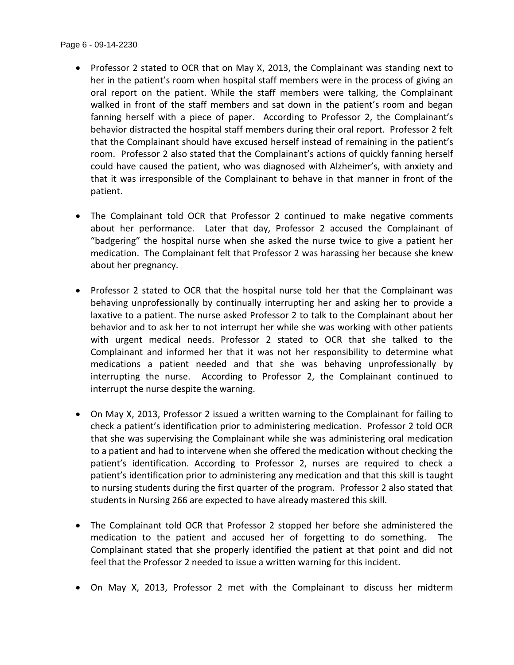- Professor 2 stated to OCR that on May X, 2013, the Complainant was standing next to her in the patient's room when hospital staff members were in the process of giving an oral report on the patient. While the staff members were talking, the Complainant walked in front of the staff members and sat down in the patient's room and began fanning herself with a piece of paper. According to Professor 2, the Complainant's behavior distracted the hospital staff members during their oral report. Professor 2 felt that the Complainant should have excused herself instead of remaining in the patient's room. Professor 2 also stated that the Complainant's actions of quickly fanning herself could have caused the patient, who was diagnosed with Alzheimer's, with anxiety and that it was irresponsible of the Complainant to behave in that manner in front of the patient.
- The Complainant told OCR that Professor 2 continued to make negative comments about her performance. Later that day, Professor 2 accused the Complainant of "badgering" the hospital nurse when she asked the nurse twice to give a patient her medication. The Complainant felt that Professor 2 was harassing her because she knew about her pregnancy.
- Professor 2 stated to OCR that the hospital nurse told her that the Complainant was behaving unprofessionally by continually interrupting her and asking her to provide a laxative to a patient. The nurse asked Professor 2 to talk to the Complainant about her behavior and to ask her to not interrupt her while she was working with other patients with urgent medical needs. Professor 2 stated to OCR that she talked to the Complainant and informed her that it was not her responsibility to determine what medications a patient needed and that she was behaving unprofessionally by interrupting the nurse. According to Professor 2, the Complainant continued to interrupt the nurse despite the warning.
- On May X, 2013, Professor 2 issued a written warning to the Complainant for failing to check a patient's identification prior to administering medication. Professor 2 told OCR that she was supervising the Complainant while she was administering oral medication to a patient and had to intervene when she offered the medication without checking the patient's identification. According to Professor 2, nurses are required to check a patient's identification prior to administering any medication and that this skill is taught to nursing students during the first quarter of the program. Professor 2 also stated that students in Nursing 266 are expected to have already mastered this skill.
- The Complainant told OCR that Professor 2 stopped her before she administered the medication to the patient and accused her of forgetting to do something. The Complainant stated that she properly identified the patient at that point and did not feel that the Professor 2 needed to issue a written warning for this incident.
- On May X, 2013, Professor 2 met with the Complainant to discuss her midterm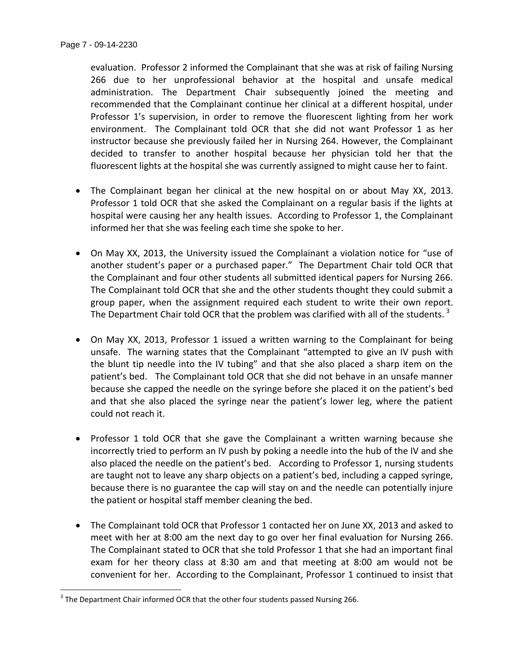$\overline{\phantom{a}}$ 

evaluation. Professor 2 informed the Complainant that she was at risk of failing Nursing 266 due to her unprofessional behavior at the hospital and unsafe medical administration. The Department Chair subsequently joined the meeting and recommended that the Complainant continue her clinical at a different hospital, under Professor 1's supervision, in order to remove the fluorescent lighting from her work environment. The Complainant told OCR that she did not want Professor 1 as her instructor because she previously failed her in Nursing 264. However, the Complainant decided to transfer to another hospital because her physician told her that the fluorescent lights at the hospital she was currently assigned to might cause her to faint.

- The Complainant began her clinical at the new hospital on or about May XX, 2013. Professor 1 told OCR that she asked the Complainant on a regular basis if the lights at hospital were causing her any health issues. According to Professor 1, the Complainant informed her that she was feeling each time she spoke to her.
- On May XX, 2013, the University issued the Complainant a violation notice for "use of another student's paper or a purchased paper." The Department Chair told OCR that the Complainant and four other students all submitted identical papers for Nursing 266. The Complainant told OCR that she and the other students thought they could submit a group paper, when the assignment required each student to write their own report. The Department Chair told OCR that the problem was clarified with all of the students.<sup>3</sup>
- On May XX, 2013, Professor 1 issued a written warning to the Complainant for being unsafe. The warning states that the Complainant "attempted to give an IV push with the blunt tip needle into the IV tubing" and that she also placed a sharp item on the patient's bed. The Complainant told OCR that she did not behave in an unsafe manner because she capped the needle on the syringe before she placed it on the patient's bed and that she also placed the syringe near the patient's lower leg, where the patient could not reach it.
- Professor 1 told OCR that she gave the Complainant a written warning because she incorrectly tried to perform an IV push by poking a needle into the hub of the IV and she also placed the needle on the patient's bed. According to Professor 1, nursing students are taught not to leave any sharp objects on a patient's bed, including a capped syringe, because there is no guarantee the cap will stay on and the needle can potentially injure the patient or hospital staff member cleaning the bed.
- The Complainant told OCR that Professor 1 contacted her on June XX, 2013 and asked to meet with her at 8:00 am the next day to go over her final evaluation for Nursing 266. The Complainant stated to OCR that she told Professor 1 that she had an important final exam for her theory class at 8:30 am and that meeting at 8:00 am would not be convenient for her. According to the Complainant, Professor 1 continued to insist that

 $^3$  The Department Chair informed OCR that the other four students passed Nursing 266.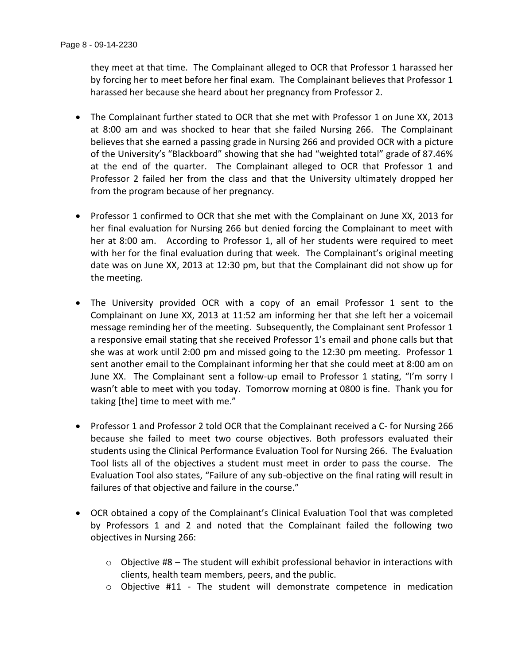they meet at that time. The Complainant alleged to OCR that Professor 1 harassed her by forcing her to meet before her final exam. The Complainant believes that Professor 1 harassed her because she heard about her pregnancy from Professor 2.

- The Complainant further stated to OCR that she met with Professor 1 on June XX, 2013 at 8:00 am and was shocked to hear that she failed Nursing 266. The Complainant believes that she earned a passing grade in Nursing 266 and provided OCR with a picture of the University's "Blackboard" showing that she had "weighted total" grade of 87.46% at the end of the quarter. The Complainant alleged to OCR that Professor 1 and Professor 2 failed her from the class and that the University ultimately dropped her from the program because of her pregnancy.
- Professor 1 confirmed to OCR that she met with the Complainant on June XX, 2013 for her final evaluation for Nursing 266 but denied forcing the Complainant to meet with her at 8:00 am. According to Professor 1, all of her students were required to meet with her for the final evaluation during that week. The Complainant's original meeting date was on June XX, 2013 at 12:30 pm, but that the Complainant did not show up for the meeting.
- The University provided OCR with a copy of an email Professor 1 sent to the Complainant on June XX, 2013 at 11:52 am informing her that she left her a voicemail message reminding her of the meeting. Subsequently, the Complainant sent Professor 1 a responsive email stating that she received Professor 1's email and phone calls but that she was at work until 2:00 pm and missed going to the 12:30 pm meeting. Professor 1 sent another email to the Complainant informing her that she could meet at 8:00 am on June XX. The Complainant sent a follow-up email to Professor 1 stating, "I'm sorry I wasn't able to meet with you today. Tomorrow morning at 0800 is fine. Thank you for taking [the] time to meet with me."
- Professor 1 and Professor 2 told OCR that the Complainant received a C- for Nursing 266 because she failed to meet two course objectives. Both professors evaluated their students using the Clinical Performance Evaluation Tool for Nursing 266. The Evaluation Tool lists all of the objectives a student must meet in order to pass the course. The Evaluation Tool also states, "Failure of any sub-objective on the final rating will result in failures of that objective and failure in the course."
- OCR obtained a copy of the Complainant's Clinical Evaluation Tool that was completed by Professors 1 and 2 and noted that the Complainant failed the following two objectives in Nursing 266:
	- $\circ$  Objective #8 The student will exhibit professional behavior in interactions with clients, health team members, peers, and the public.
	- o Objective #11 The student will demonstrate competence in medication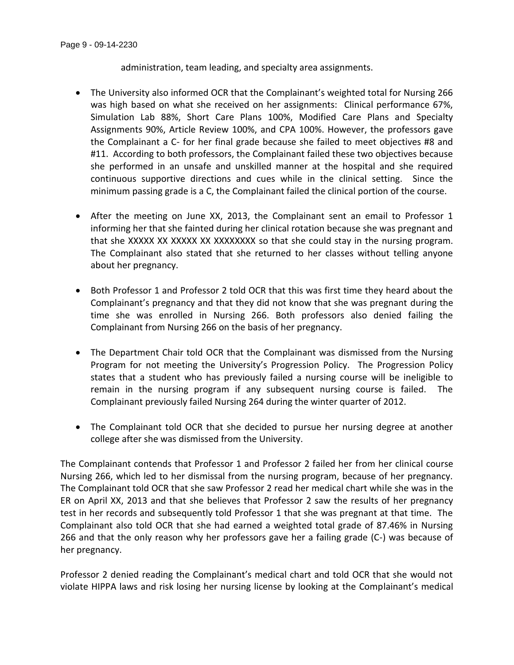administration, team leading, and specialty area assignments.

- The University also informed OCR that the Complainant's weighted total for Nursing 266 was high based on what she received on her assignments: Clinical performance 67%, Simulation Lab 88%, Short Care Plans 100%, Modified Care Plans and Specialty Assignments 90%, Article Review 100%, and CPA 100%. However, the professors gave the Complainant a C- for her final grade because she failed to meet objectives #8 and #11. According to both professors, the Complainant failed these two objectives because she performed in an unsafe and unskilled manner at the hospital and she required continuous supportive directions and cues while in the clinical setting. Since the minimum passing grade is a C, the Complainant failed the clinical portion of the course.
- After the meeting on June XX, 2013, the Complainant sent an email to Professor 1 informing her that she fainted during her clinical rotation because she was pregnant and that she XXXXX XX XXXXX XX XXXXXXXX so that she could stay in the nursing program. The Complainant also stated that she returned to her classes without telling anyone about her pregnancy.
- Both Professor 1 and Professor 2 told OCR that this was first time they heard about the Complainant's pregnancy and that they did not know that she was pregnant during the time she was enrolled in Nursing 266. Both professors also denied failing the Complainant from Nursing 266 on the basis of her pregnancy.
- The Department Chair told OCR that the Complainant was dismissed from the Nursing Program for not meeting the University's Progression Policy. The Progression Policy states that a student who has previously failed a nursing course will be ineligible to remain in the nursing program if any subsequent nursing course is failed. The Complainant previously failed Nursing 264 during the winter quarter of 2012.
- The Complainant told OCR that she decided to pursue her nursing degree at another college after she was dismissed from the University.

The Complainant contends that Professor 1 and Professor 2 failed her from her clinical course Nursing 266, which led to her dismissal from the nursing program, because of her pregnancy. The Complainant told OCR that she saw Professor 2 read her medical chart while she was in the ER on April XX, 2013 and that she believes that Professor 2 saw the results of her pregnancy test in her records and subsequently told Professor 1 that she was pregnant at that time. The Complainant also told OCR that she had earned a weighted total grade of 87.46% in Nursing 266 and that the only reason why her professors gave her a failing grade (C-) was because of her pregnancy.

Professor 2 denied reading the Complainant's medical chart and told OCR that she would not violate HIPPA laws and risk losing her nursing license by looking at the Complainant's medical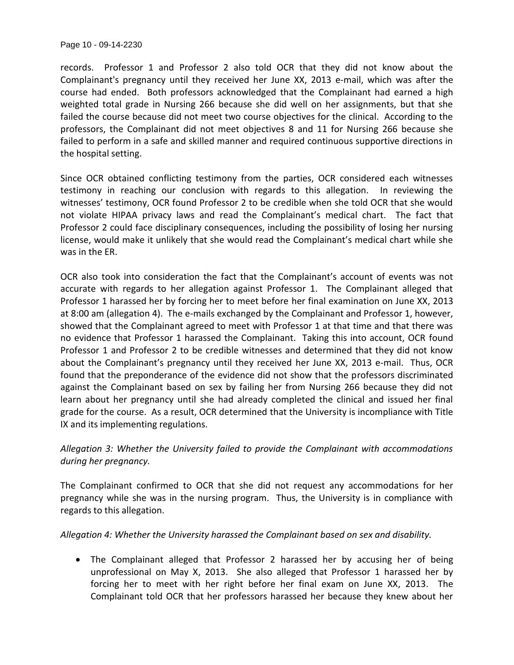Page 10 - 09-14-2230

records. Professor 1 and Professor 2 also told OCR that they did not know about the Complainant's pregnancy until they received her June XX, 2013 e-mail, which was after the course had ended. Both professors acknowledged that the Complainant had earned a high weighted total grade in Nursing 266 because she did well on her assignments, but that she failed the course because did not meet two course objectives for the clinical. According to the professors, the Complainant did not meet objectives 8 and 11 for Nursing 266 because she failed to perform in a safe and skilled manner and required continuous supportive directions in the hospital setting.

Since OCR obtained conflicting testimony from the parties, OCR considered each witnesses testimony in reaching our conclusion with regards to this allegation. In reviewing the witnesses' testimony, OCR found Professor 2 to be credible when she told OCR that she would not violate HIPAA privacy laws and read the Complainant's medical chart. The fact that Professor 2 could face disciplinary consequences, including the possibility of losing her nursing license, would make it unlikely that she would read the Complainant's medical chart while she was in the ER.

OCR also took into consideration the fact that the Complainant's account of events was not accurate with regards to her allegation against Professor 1. The Complainant alleged that Professor 1 harassed her by forcing her to meet before her final examination on June XX, 2013 at 8:00 am (allegation 4). The e-mails exchanged by the Complainant and Professor 1, however, showed that the Complainant agreed to meet with Professor 1 at that time and that there was no evidence that Professor 1 harassed the Complainant. Taking this into account, OCR found Professor 1 and Professor 2 to be credible witnesses and determined that they did not know about the Complainant's pregnancy until they received her June XX, 2013 e-mail. Thus, OCR found that the preponderance of the evidence did not show that the professors discriminated against the Complainant based on sex by failing her from Nursing 266 because they did not learn about her pregnancy until she had already completed the clinical and issued her final grade for the course. As a result, OCR determined that the University is incompliance with Title IX and its implementing regulations.

*Allegation 3: Whether the University failed to provide the Complainant with accommodations during her pregnancy.*

The Complainant confirmed to OCR that she did not request any accommodations for her pregnancy while she was in the nursing program. Thus, the University is in compliance with regards to this allegation.

*Allegation 4: Whether the University harassed the Complainant based on sex and disability.*

 The Complainant alleged that Professor 2 harassed her by accusing her of being unprofessional on May X, 2013. She also alleged that Professor 1 harassed her by forcing her to meet with her right before her final exam on June XX, 2013. The Complainant told OCR that her professors harassed her because they knew about her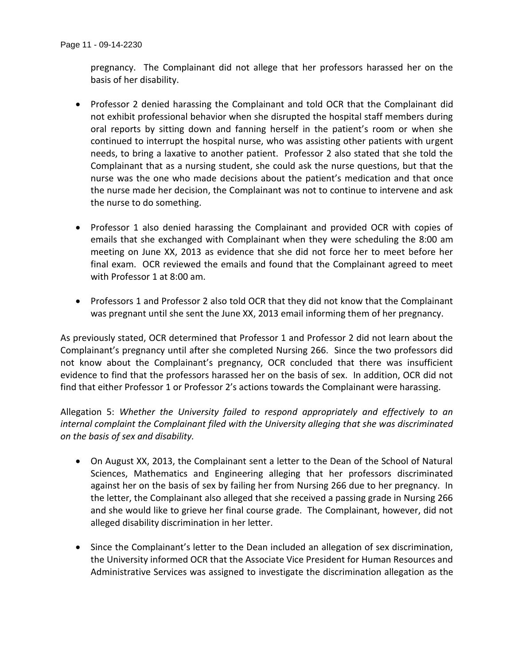pregnancy. The Complainant did not allege that her professors harassed her on the basis of her disability.

- Professor 2 denied harassing the Complainant and told OCR that the Complainant did not exhibit professional behavior when she disrupted the hospital staff members during oral reports by sitting down and fanning herself in the patient's room or when she continued to interrupt the hospital nurse, who was assisting other patients with urgent needs, to bring a laxative to another patient. Professor 2 also stated that she told the Complainant that as a nursing student, she could ask the nurse questions, but that the nurse was the one who made decisions about the patient's medication and that once the nurse made her decision, the Complainant was not to continue to intervene and ask the nurse to do something.
- Professor 1 also denied harassing the Complainant and provided OCR with copies of emails that she exchanged with Complainant when they were scheduling the 8:00 am meeting on June XX, 2013 as evidence that she did not force her to meet before her final exam. OCR reviewed the emails and found that the Complainant agreed to meet with Professor 1 at 8:00 am.
- Professors 1 and Professor 2 also told OCR that they did not know that the Complainant was pregnant until she sent the June XX, 2013 email informing them of her pregnancy.

As previously stated, OCR determined that Professor 1 and Professor 2 did not learn about the Complainant's pregnancy until after she completed Nursing 266. Since the two professors did not know about the Complainant's pregnancy, OCR concluded that there was insufficient evidence to find that the professors harassed her on the basis of sex. In addition, OCR did not find that either Professor 1 or Professor 2's actions towards the Complainant were harassing.

Allegation 5: *Whether the University failed to respond appropriately and effectively to an internal complaint the Complainant filed with the University alleging that she was discriminated on the basis of sex and disability.*

- On August XX, 2013, the Complainant sent a letter to the Dean of the School of Natural Sciences, Mathematics and Engineering alleging that her professors discriminated against her on the basis of sex by failing her from Nursing 266 due to her pregnancy. In the letter, the Complainant also alleged that she received a passing grade in Nursing 266 and she would like to grieve her final course grade. The Complainant, however, did not alleged disability discrimination in her letter.
- Since the Complainant's letter to the Dean included an allegation of sex discrimination, the University informed OCR that the Associate Vice President for Human Resources and Administrative Services was assigned to investigate the discrimination allegation as the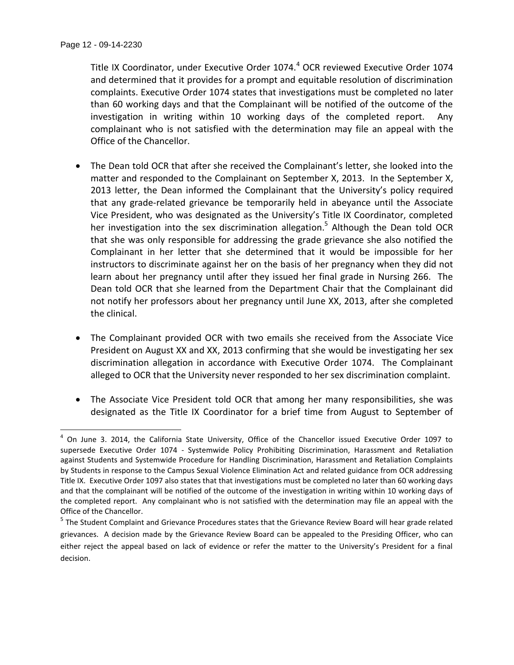$\overline{\phantom{a}}$ 

Title IX Coordinator, under Executive Order 1074.<sup>4</sup> OCR reviewed Executive Order 1074 and determined that it provides for a prompt and equitable resolution of discrimination complaints. Executive Order 1074 states that investigations must be completed no later than 60 working days and that the Complainant will be notified of the outcome of the investigation in writing within 10 working days of the completed report. Any complainant who is not satisfied with the determination may file an appeal with the Office of the Chancellor.

- The Dean told OCR that after she received the Complainant's letter, she looked into the matter and responded to the Complainant on September X, 2013. In the September X, 2013 letter, the Dean informed the Complainant that the University's policy required that any grade-related grievance be temporarily held in abeyance until the Associate Vice President, who was designated as the University's Title IX Coordinator, completed her investigation into the sex discrimination allegation.<sup>5</sup> Although the Dean told OCR that she was only responsible for addressing the grade grievance she also notified the Complainant in her letter that she determined that it would be impossible for her instructors to discriminate against her on the basis of her pregnancy when they did not learn about her pregnancy until after they issued her final grade in Nursing 266. The Dean told OCR that she learned from the Department Chair that the Complainant did not notify her professors about her pregnancy until June XX, 2013, after she completed the clinical.
- The Complainant provided OCR with two emails she received from the Associate Vice President on August XX and XX, 2013 confirming that she would be investigating her sex discrimination allegation in accordance with Executive Order 1074. The Complainant alleged to OCR that the University never responded to her sex discrimination complaint.
- The Associate Vice President told OCR that among her many responsibilities, she was designated as the Title IX Coordinator for a brief time from August to September of

<sup>&</sup>lt;sup>4</sup> On June 3. 2014, the California State University, Office of the Chancellor issued Executive Order 1097 to supersede Executive Order 1074 - Systemwide Policy Prohibiting Discrimination, Harassment and Retaliation against Students and Systemwide Procedure for Handling Discrimination, Harassment and Retaliation Complaints by Students in response to the Campus Sexual Violence Elimination Act and related guidance from OCR addressing Title IX. Executive Order 1097 also states that that investigations must be completed no later than 60 working days and that the complainant will be notified of the outcome of the investigation in writing within 10 working days of the completed report. Any complainant who is not satisfied with the determination may file an appeal with the Office of the Chancellor.

<sup>&</sup>lt;sup>5</sup> The Student Complaint and Grievance Procedures states that the Grievance Review Board will hear grade related grievances. A decision made by the Grievance Review Board can be appealed to the Presiding Officer, who can either reject the appeal based on lack of evidence or refer the matter to the University's President for a final decision.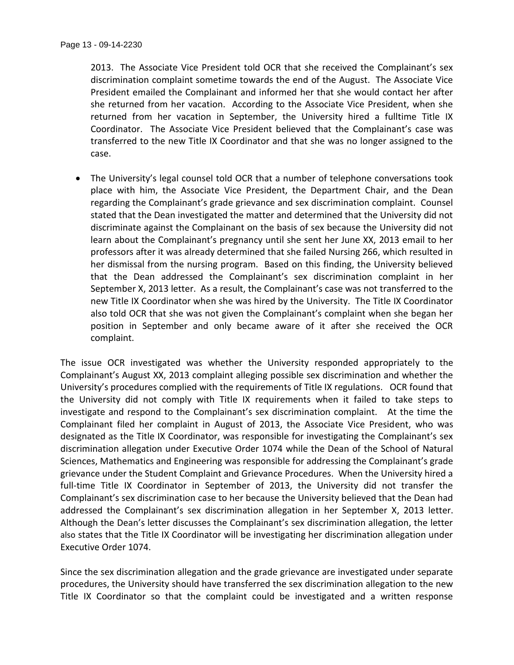2013. The Associate Vice President told OCR that she received the Complainant's sex discrimination complaint sometime towards the end of the August. The Associate Vice President emailed the Complainant and informed her that she would contact her after she returned from her vacation. According to the Associate Vice President, when she returned from her vacation in September, the University hired a fulltime Title IX Coordinator. The Associate Vice President believed that the Complainant's case was transferred to the new Title IX Coordinator and that she was no longer assigned to the case.

 The University's legal counsel told OCR that a number of telephone conversations took place with him, the Associate Vice President, the Department Chair, and the Dean regarding the Complainant's grade grievance and sex discrimination complaint. Counsel stated that the Dean investigated the matter and determined that the University did not discriminate against the Complainant on the basis of sex because the University did not learn about the Complainant's pregnancy until she sent her June XX, 2013 email to her professors after it was already determined that she failed Nursing 266, which resulted in her dismissal from the nursing program. Based on this finding, the University believed that the Dean addressed the Complainant's sex discrimination complaint in her September X, 2013 letter. As a result, the Complainant's case was not transferred to the new Title IX Coordinator when she was hired by the University. The Title IX Coordinator also told OCR that she was not given the Complainant's complaint when she began her position in September and only became aware of it after she received the OCR complaint.

The issue OCR investigated was whether the University responded appropriately to the Complainant's August XX, 2013 complaint alleging possible sex discrimination and whether the University's procedures complied with the requirements of Title IX regulations. OCR found that the University did not comply with Title IX requirements when it failed to take steps to investigate and respond to the Complainant's sex discrimination complaint. At the time the Complainant filed her complaint in August of 2013, the Associate Vice President, who was designated as the Title IX Coordinator, was responsible for investigating the Complainant's sex discrimination allegation under Executive Order 1074 while the Dean of the School of Natural Sciences, Mathematics and Engineering was responsible for addressing the Complainant's grade grievance under the Student Complaint and Grievance Procedures. When the University hired a full-time Title IX Coordinator in September of 2013, the University did not transfer the Complainant's sex discrimination case to her because the University believed that the Dean had addressed the Complainant's sex discrimination allegation in her September X, 2013 letter. Although the Dean's letter discusses the Complainant's sex discrimination allegation, the letter also states that the Title IX Coordinator will be investigating her discrimination allegation under Executive Order 1074.

Since the sex discrimination allegation and the grade grievance are investigated under separate procedures, the University should have transferred the sex discrimination allegation to the new Title IX Coordinator so that the complaint could be investigated and a written response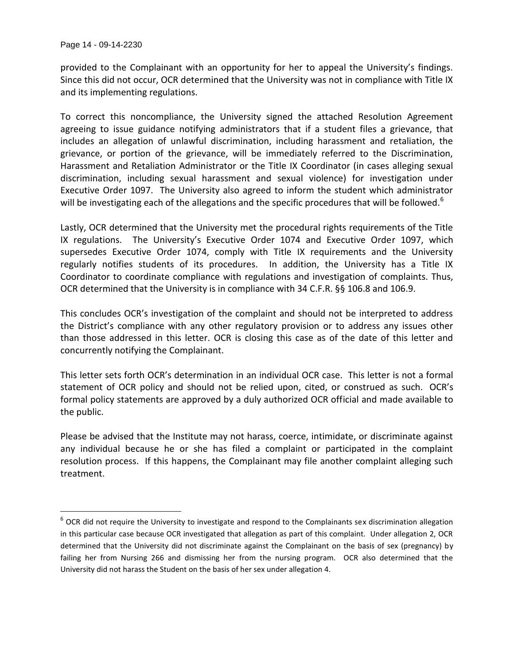$\overline{a}$ 

provided to the Complainant with an opportunity for her to appeal the University's findings. Since this did not occur, OCR determined that the University was not in compliance with Title IX and its implementing regulations.

To correct this noncompliance, the University signed the attached Resolution Agreement agreeing to issue guidance notifying administrators that if a student files a grievance, that includes an allegation of unlawful discrimination, including harassment and retaliation, the grievance, or portion of the grievance, will be immediately referred to the Discrimination, Harassment and Retaliation Administrator or the Title IX Coordinator (in cases alleging sexual discrimination, including sexual harassment and sexual violence) for investigation under Executive Order 1097. The University also agreed to inform the student which administrator will be investigating each of the allegations and the specific procedures that will be followed.<sup>6</sup>

Lastly, OCR determined that the University met the procedural rights requirements of the Title IX regulations. The University's Executive Order 1074 and Executive Order 1097, which supersedes Executive Order 1074, comply with Title IX requirements and the University regularly notifies students of its procedures. In addition, the University has a Title IX Coordinator to coordinate compliance with regulations and investigation of complaints. Thus, OCR determined that the University is in compliance with 34 C.F.R. §§ 106.8 and 106.9.

This concludes OCR's investigation of the complaint and should not be interpreted to address the District's compliance with any other regulatory provision or to address any issues other than those addressed in this letter. OCR is closing this case as of the date of this letter and concurrently notifying the Complainant.

This letter sets forth OCR's determination in an individual OCR case. This letter is not a formal statement of OCR policy and should not be relied upon, cited, or construed as such. OCR's formal policy statements are approved by a duly authorized OCR official and made available to the public.

Please be advised that the Institute may not harass, coerce, intimidate, or discriminate against any individual because he or she has filed a complaint or participated in the complaint resolution process. If this happens, the Complainant may file another complaint alleging such treatment.

 $^6$  OCR did not require the University to investigate and respond to the Complainants sex discrimination allegation in this particular case because OCR investigated that allegation as part of this complaint. Under allegation 2, OCR determined that the University did not discriminate against the Complainant on the basis of sex (pregnancy) by failing her from Nursing 266 and dismissing her from the nursing program. OCR also determined that the University did not harass the Student on the basis of her sex under allegation 4.